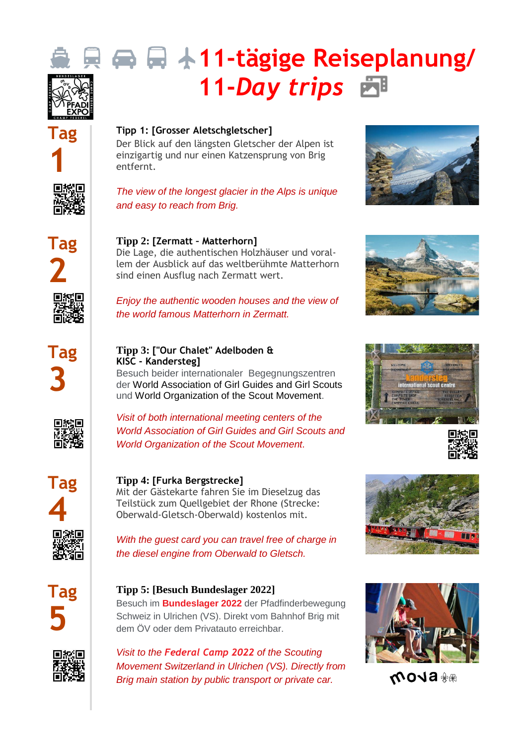



#### **Tipp 1: [Grosser Aletschgletscher]**

Der Blick auf den längsten Gletscher der Alpen ist einzigartig und nur einen Katzensprung von Brig entfernt.



### *The view of the longest glacier in the Alps is unique and easy to reach from Brig.*





sind einen Ausflug nach Zermatt wert.

*Enjoy the authentic wooden houses and the view of the world famous Matterhorn in Zermatt.*



#### **Tipp 3: ["Our Chalet" Adelboden & KISC - Kandersteg]**

Besuch beider internationaler Begegnungszentren der [World Association of Girl Guides and Girl Scouts](https://youtu.be/4dmbyEuZq5Y) und [World Organization of the Scout Movement.](https://youtu.be/6XTX5AqXYpk)



*Visit of both international meeting centers of the [World Association of Girl Guides and Girl](https://youtu.be/4dmbyEuZq5Y) Scouts and [World Organization of the Scout Movement.](https://youtu.be/6XTX5AqXYpk)*



## **Tipp 4: [Furka Bergstrecke]**

Mit der Gästekarte fahren Sie im Dieselzug das Teilstück zum Quellgebiet der Rhone (Strecke: Oberwald-Gletsch-Oberwald) kostenlos mit.

*With the guest card you can travel free of charge in the diesel engine from Oberwald to Gletsch.*



## **Tipp 5: [Besuch Bundeslager 2022]**

Besuch im **[Bundeslager 2022](https://www.mova.ch/)** der Pfadfinderbewegung Schweiz in Ulrichen (VS). Direkt vom Bahnhof Brig mit dem ÖV oder dem Privatauto erreichbar.

















₩**® BLOW**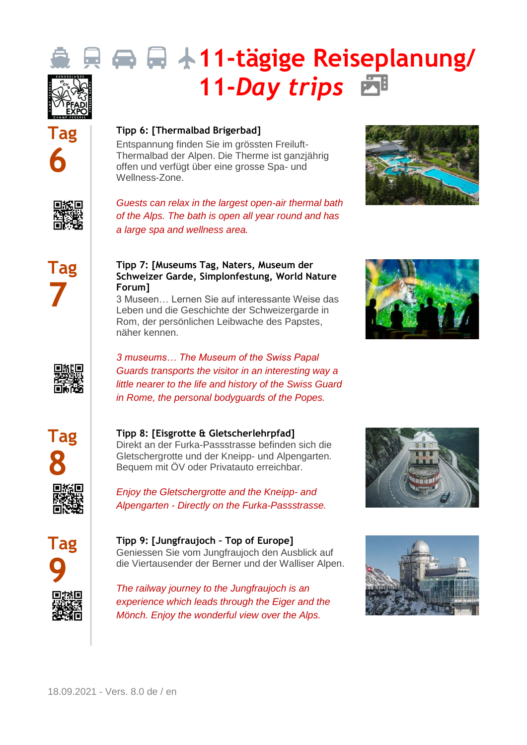



#### **Tipp 6: [\[Thermalbad Brigerbad\]](https://thermalbad-wallis.ch/de/)**

Entspannung finden Sie im grössten Freiluft-Thermalbad der Alpen. Die Therme ist ganzjährig offen und verfügt über eine grosse Spa- und Wellness-Zone.

回線回



*Guests can relax in the largest open-air thermal bath of the Alps. The bath is open all year round and has a large spa and wellness area.*





#### **Tipp 7: [Museums Tag, Naters, Museum der Schweizer Garde, Simplonfestung, World Nature Forum]**

3 Museen… Lernen Sie auf interessante Weise das Leben und die Geschichte der Schweizergarde in Rom, der persönlichen Leibwache des Papstes, näher kennen.





*3 museums… The Museum of the Swiss Papal Guards transports the visitor in an interesting way a little nearer to the life and history of the Swiss Guard in Rome, the personal bodyguards of the Popes.*



#### **Tipp 8: [Eisgrotte & Gletscherlehrpfad]**

Direkt an der Furka-Passstrasse befinden sich die Gletschergrotte und der Kneipp- und Alpengarten. Bequem mit ÖV oder Privatauto erreichbar.





**Tipp 9: [Jungfraujoch – Top of Europe]** Geniessen Sie vom Jungfraujoch den Ausblick auf die Viertausender der Berner und der Walliser Alpen.

*The railway journey to the Jungfraujoch is an experience which leads through the Eiger and the Mönch. Enjoy the wonderful view over the Alps.*